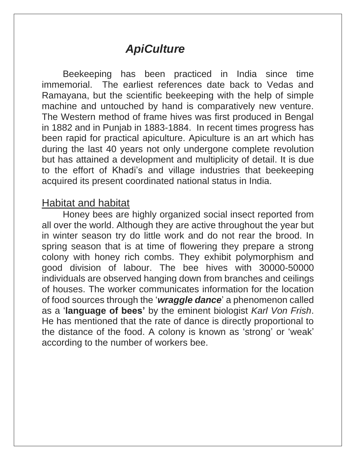# *ApiCulture*

Beekeeping has been practiced in India since time immemorial. The earliest references date back to Vedas and Ramayana, but the scientific beekeeping with the help of simple machine and untouched by hand is comparatively new venture. The Western method of frame hives was first produced in Bengal in 1882 and in Punjab in 1883-1884. In recent times progress has been rapid for practical apiculture. Apiculture is an art which has during the last 40 years not only undergone complete revolution but has attained a development and multiplicity of detail. It is due to the effort of Khadi's and village industries that beekeeping acquired its present coordinated national status in India.

#### Habitat and habitat

Honey bees are highly organized social insect reported from all over the world. Although they are active throughout the year but in winter season try do little work and do not rear the brood. In spring season that is at time of flowering they prepare a strong colony with honey rich combs. They exhibit polymorphism and good division of labour. The bee hives with 30000-50000 individuals are observed hanging down from branches and ceilings of houses. The worker communicates information for the location of food sources through the '*wraggle dance*' a phenomenon called as a '**language of bees'** by the eminent biologist *Karl Von Frish*. He has mentioned that the rate of dance is directly proportional to the distance of the food. A colony is known as 'strong' or 'weak' according to the number of workers bee.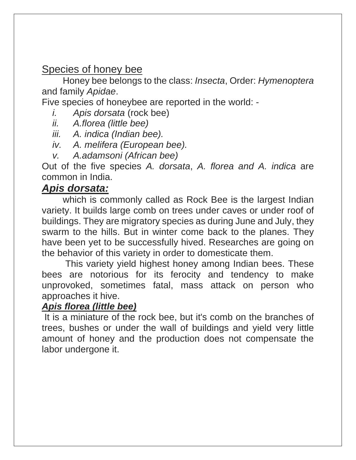### Species of honey bee

Honey bee belongs to the class: *Insecta*, Order: *Hymenoptera* and family *Apidae*.

Five species of honeybee are reported in the world: -

- *i. Apis dorsata* (rock bee)
- *ii. A.florea (little bee)*
- *iii. A. indica (Indian bee).*
- *iv. A. melifera (European bee).*
- *v. A.adamsoni (African bee)*

Out of the five species *A. dorsata*, *A. florea and A. indica* are common in India.

#### *Apis dorsata:*

which is commonly called as Rock Bee is the largest Indian variety. It builds large comb on trees under caves or under roof of buildings. They are migratory species as during June and July, they swarm to the hills. But in winter come back to the planes. They have been yet to be successfully hived. Researches are going on the behavior of this variety in order to domesticate them.

This variety yield highest honey among Indian bees. These bees are notorious for its ferocity and tendency to make unprovoked, sometimes fatal, mass attack on person who approaches it hive.

#### *Apis florea (little bee)*

It is a miniature of the rock bee, but it's comb on the branches of trees, bushes or under the wall of buildings and yield very little amount of honey and the production does not compensate the labor undergone it.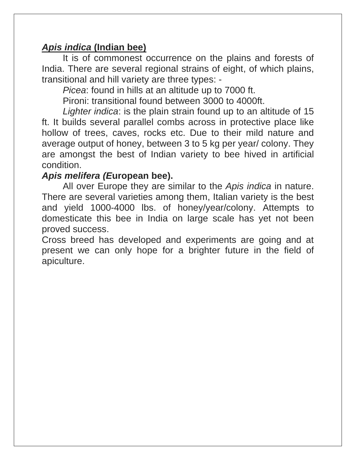#### *Apis indica* **(Indian bee)**

It is of commonest occurrence on the plains and forests of India. There are several regional strains of eight, of which plains, transitional and hill variety are three types: -

*Picea*: found in hills at an altitude up to 7000 ft.

Pironi: transitional found between 3000 to 4000ft.

*Lighter indica*: is the plain strain found up to an altitude of 15 ft. It builds several parallel combs across in protective place like hollow of trees, caves, rocks etc. Due to their mild nature and average output of honey, between 3 to 5 kg per year/ colony. They are amongst the best of Indian variety to bee hived in artificial condition.

#### *Apis melifera (E***uropean bee).**

All over Europe they are similar to the *Apis indica* in nature. There are several varieties among them, Italian variety is the best and yield 1000-4000 lbs. of honey/year/colony. Attempts to domesticate this bee in India on large scale has yet not been proved success.

Cross breed has developed and experiments are going and at present we can only hope for a brighter future in the field of apiculture.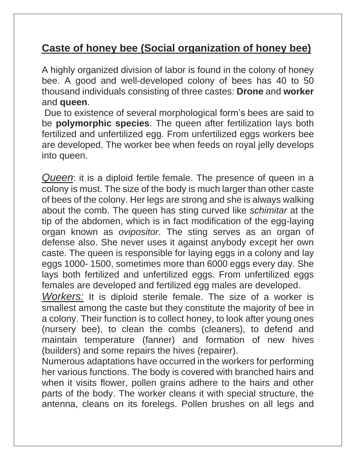## **Caste of honey bee (Social organization of honey bee)**

A highly organized division of labor is found in the colony of honey bee. A good and well-developed colony of bees has 40 to 50 thousand individuals consisting of three castes: **Drone** and **worker** and **queen**.

Due to existence of several morphological form's bees are said to be **polymorphic species**. The queen after fertilization lays both fertilized and unfertilized egg. From unfertilized eggs workers bee are developed. The worker bee when feeds on royal jelly develops into queen.

*Queen*: it is a diploid fertile female. The presence of queen in a colony is must. The size of the body is much larger than other caste of bees of the colony. Her legs are strong and she is always walking about the comb. The queen has sting curved like *schimitar* at the tip of the abdomen, which is in fact modification of the egg-laying organ known as *ovipositor*. The sting serves as an organ of defense also. She never uses it against anybody except her own caste. The queen is responsible for laying eggs in a colony and lay eggs 1000- 1500, sometimes more than 6000 eggs every day. She lays both fertilized and unfertilized eggs. From unfertilized eggs females are developed and fertilized egg males are developed.

*Workers:* It is diploid sterile female. The size of a worker is smallest among the caste but they constitute the majority of bee in a colony. Their function is to collect honey, to look after young ones (nursery bee), to clean the combs (cleaners), to defend and maintain temperature (fanner) and formation of new hives (builders) and some repairs the hives (repairer).

Numerous adaptations have occurred in the workers for performing her various functions. The body is covered with branched hairs and when it visits flower, pollen grains adhere to the hairs and other parts of the body. The worker cleans it with special structure, the antenna, cleans on its forelegs. Pollen brushes on all legs and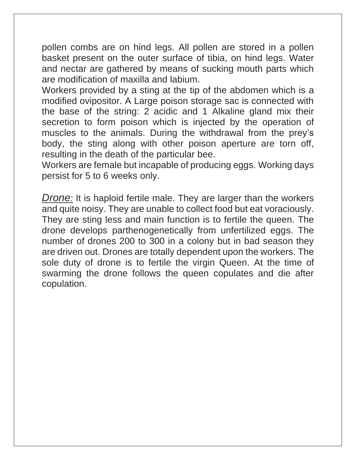pollen combs are on hind legs. All pollen are stored in a pollen basket present on the outer surface of tibia, on hind legs. Water and nectar are gathered by means of sucking mouth parts which are modification of maxilla and labium.

Workers provided by a sting at the tip of the abdomen which is a modified ovipositor. A Large poison storage sac is connected with the base of the string: 2 acidic and 1 Alkaline gland mix their secretion to form poison which is injected by the operation of muscles to the animals. During the withdrawal from the prey's body, the sting along with other poison aperture are torn off, resulting in the death of the particular bee.

Workers are female but incapable of producing eggs. Working days persist for 5 to 6 weeks only.

*Drone:* It is haploid fertile male. They are larger than the workers and quite noisy. They are unable to collect food but eat voraciously. They are sting less and main function is to fertile the queen. The drone develops parthenogenetically from unfertilized eggs. The number of drones 200 to 300 in a colony but in bad season they are driven out. Drones are totally dependent upon the workers. The sole duty of drone is to fertile the virgin Queen. At the time of swarming the drone follows the queen copulates and die after copulation.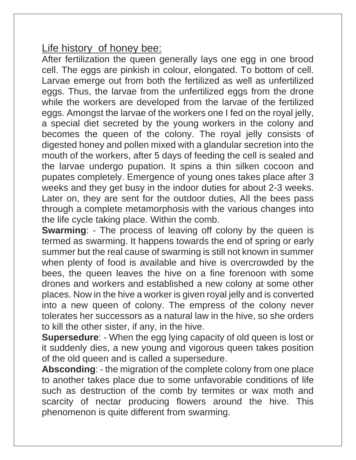## Life history of honey bee:

After fertilization the queen generally lays one egg in one brood cell. The eggs are pinkish in colour, elongated. To bottom of cell. Larvae emerge out from both the fertilized as well as unfertilized eggs. Thus, the larvae from the unfertilized eggs from the drone while the workers are developed from the larvae of the fertilized eggs. Amongst the larvae of the workers one I fed on the royal jelly, a special diet secreted by the young workers in the colony and becomes the queen of the colony. The royal jelly consists of digested honey and pollen mixed with a glandular secretion into the mouth of the workers, after 5 days of feeding the cell is sealed and the larvae undergo pupation. It spins a thin silken cocoon and pupates completely. Emergence of young ones takes place after 3 weeks and they get busy in the indoor duties for about 2-3 weeks. Later on, they are sent for the outdoor duties, All the bees pass through a complete metamorphosis with the various changes into the life cycle taking place. Within the comb.

**Swarming:** - The process of leaving off colony by the queen is termed as swarming. It happens towards the end of spring or early summer but the real cause of swarming is still not known in summer when plenty of food is available and hive is overcrowded by the bees, the queen leaves the hive on a fine forenoon with some drones and workers and established a new colony at some other places. Now in the hive a worker is given royal jelly and is converted into a new queen of colony. The empress of the colony never tolerates her successors as a natural law in the hive, so she orders to kill the other sister, if any, in the hive.

**Supersedure:** - When the egg lying capacity of old queen is lost or it suddenly dies, a new young and vigorous queen takes position of the old queen and is called a supersedure.

**Absconding**: - the migration of the complete colony from one place to another takes place due to some unfavorable conditions of life such as destruction of the comb by termites or wax moth and scarcity of nectar producing flowers around the hive. This phenomenon is quite different from swarming.